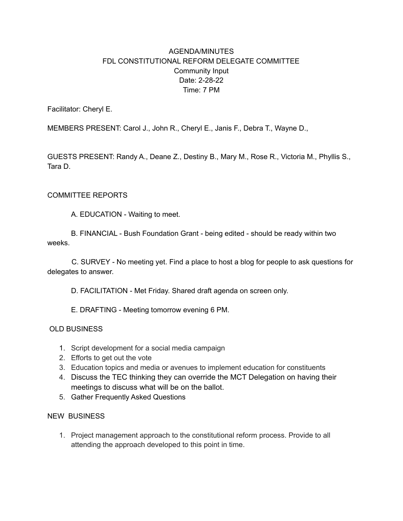## AGENDA/MINUTES FDL CONSTITUTIONAL REFORM DELEGATE COMMITTEE Community Input Date: 2-28-22 Time: 7 PM

Facilitator: Cheryl E.

MEMBERS PRESENT: Carol J., John R., Cheryl E., Janis F., Debra T., Wayne D.,

GUESTS PRESENT: Randy A., Deane Z., Destiny B., Mary M., Rose R., Victoria M., Phyllis S., Tara D.

## COMMITTEE REPORTS

A. EDUCATION - Waiting to meet.

B. FINANCIAL - Bush Foundation Grant - being edited - should be ready within two weeks.

C. SURVEY - No meeting yet. Find a place to host a blog for people to ask questions for delegates to answer.

D. FACILITATION - Met Friday. Shared draft agenda on screen only.

E. DRAFTING - Meeting tomorrow evening 6 PM.

## OLD BUSINESS

- 1. Script development for a social media campaign
- 2. Efforts to get out the vote
- 3. Education topics and media or avenues to implement education for constituents
- 4. Discuss the TEC thinking they can override the MCT Delegation on having their meetings to discuss what will be on the ballot.
- 5. Gather Frequently Asked Questions

## NEW BUSINESS

1. Project management approach to the constitutional reform process. Provide to all attending the approach developed to this point in time.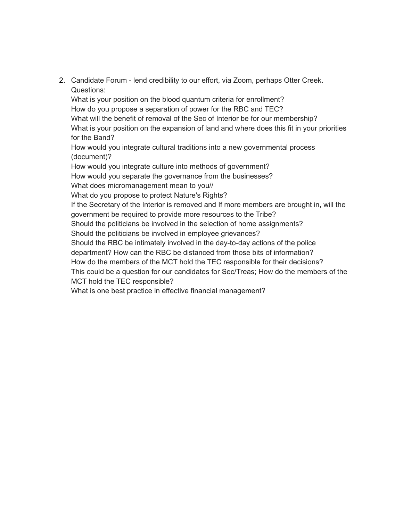2. Candidate Forum - lend credibility to our effort, via Zoom, perhaps Otter Creek. Questions:

What is your position on the blood quantum criteria for enrollment? How do you propose a separation of power for the RBC and TEC? What will the benefit of removal of the Sec of Interior be for our membership? What is your position on the expansion of land and where does this fit in your priorities for the Band?

How would you integrate cultural traditions into a new governmental process (document)?

How would you integrate culture into methods of government?

How would you separate the governance from the businesses?

What does micromanagement mean to you//

What do you propose to protect Nature's Rights?

If the Secretary of the Interior is removed and If more members are brought in, will the government be required to provide more resources to the Tribe?

Should the politicians be involved in the selection of home assignments?

Should the politicians be involved in employee grievances?

Should the RBC be intimately involved in the day-to-day actions of the police

department? How can the RBC be distanced from those bits of information?

How do the members of the MCT hold the TEC responsible for their decisions?

This could be a question for our candidates for Sec/Treas; How do the members of the MCT hold the TEC responsible?

What is one best practice in effective financial management?